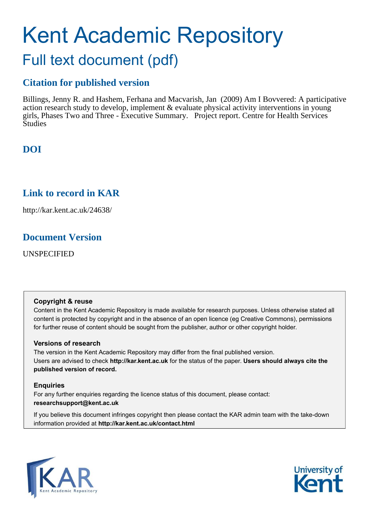# Kent Academic Repository Full text document (pdf)

### **Citation for published version**

Billings, Jenny R. and Hashem, Ferhana and Macvarish, Jan (2009) Am I Bovvered: A participative action research study to develop, implement & evaluate physical activity interventions in young girls, Phases Two and Three - Executive Summary. Project report. Centre for Health Services Studies

### **DOI**

### **Link to record in KAR**

http://kar.kent.ac.uk/24638/

### **Document Version**

UNSPECIFIED

### **Copyright & reuse**

Content in the Kent Academic Repository is made available for research purposes. Unless otherwise stated all content is protected by copyright and in the absence of an open licence (eg Creative Commons), permissions for further reuse of content should be sought from the publisher, author or other copyright holder.

### **Versions of research**

The version in the Kent Academic Repository may differ from the final published version. Users are advised to check **http://kar.kent.ac.uk** for the status of the paper. **Users should always cite the published version of record.**

### **Enquiries**

For any further enquiries regarding the licence status of this document, please contact: **researchsupport@kent.ac.uk**

If you believe this document infringes copyright then please contact the KAR admin team with the take-down information provided at **http://kar.kent.ac.uk/contact.html**



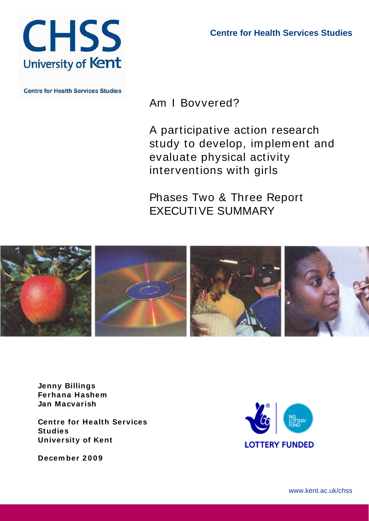

**Centre for Health Services Studies** 

Am I Bovvered?

A participative action research study to develop, im plem ent and evaluate physical activity interventions with girls

Phases Two & Three Report EXECUTI VE SUMMARY



**Jenny Billings Ferhana Hashem Jan Macvarish** 

**Centre for Health Services Studies University of Kent** 

 $\frac{1}{2}$ **Decem ber 2 0 0 9** 

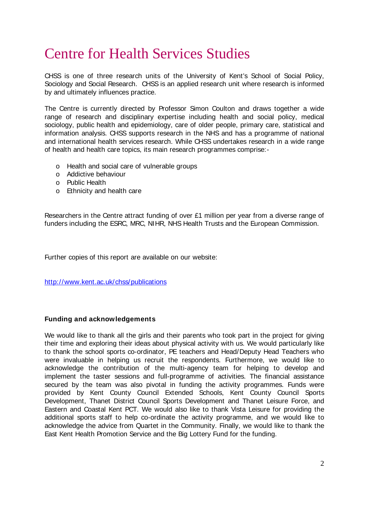# Centre for Health Services Studies

CHSS is one of three research units of the University of Kent's School of Social Policy, Sociology and Social Research. CHSS is an applied research unit where research is informed by and ultimately influences practice.

The Centre is currently directed by Professor Simon Coulton and draws together a wide range of research and disciplinary expertise including health and social policy, medical sociology, public health and epidemiology, care of older people, primary care, statistical and information analysis. CHSS supports research in the NHS and has a programme of national and international health services research. While CHSS undertakes research in a wide range of health and health care topics, its main research programmes comprise:-

- o Health and social care of vulnerable groups
- o Addictive behaviour
- o Public Health
- o Ethnicity and health care

Researchers in the Centre attract funding of over £1 million per year from a diverse range of funders including the ESRC, MRC, NIHR, NHS Health Trusts and the European Commission.

Further copies of this report are available on our website:

<http://www.kent.ac.uk/chss/publications>

#### **Funding and acknowledgements**

We would like to thank all the girls and their parents who took part in the project for giving their time and exploring their ideas about physical activity with us. We would particularly like to thank the school sports co-ordinator, PE teachers and Head/Deputy Head Teachers who were invaluable in helping us recruit the respondents. Furthermore, we would like to acknowledge the contribution of the multi-agency team for helping to develop and implement the taster sessions and full-programme of activities. The financial assistance secured by the team was also pivotal in funding the activity programmes. Funds were provided by Kent County Council Extended Schools, Kent County Council Sports Development, Thanet District Council Sports Development and Thanet Leisure Force, and Eastern and Coastal Kent PCT. We would also like to thank Vista Leisure for providing the additional sports staff to help co-ordinate the activity programme, and we would like to acknowledge the advice from Quartet in the Community. Finally, we would like to thank the East Kent Health Promotion Service and the Big Lottery Fund for the funding.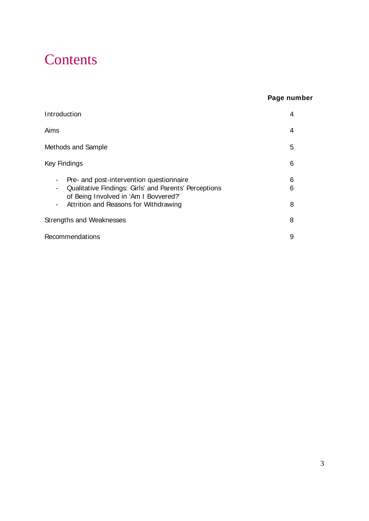### **Contents**

### **Page number**

| Introduction                                                                                                                                                                                                                                                            | 4           |
|-------------------------------------------------------------------------------------------------------------------------------------------------------------------------------------------------------------------------------------------------------------------------|-------------|
| Aims                                                                                                                                                                                                                                                                    | 4           |
| Methods and Sample                                                                                                                                                                                                                                                      | 5           |
| Key Findings                                                                                                                                                                                                                                                            | 6           |
| Pre- and post-intervention questionnaire<br>$\overline{\phantom{a}}$<br>Qualitative Findings: Girls' and Parents' Perceptions<br>$\overline{\phantom{a}}$<br>of Being Involved in 'Am I Bovvered?'<br>Attrition and Reasons for Withdrawing<br>$\overline{\phantom{a}}$ | 6<br>6<br>8 |
| Strengths and Weaknesses                                                                                                                                                                                                                                                | 8           |
| Recommendations                                                                                                                                                                                                                                                         | 9           |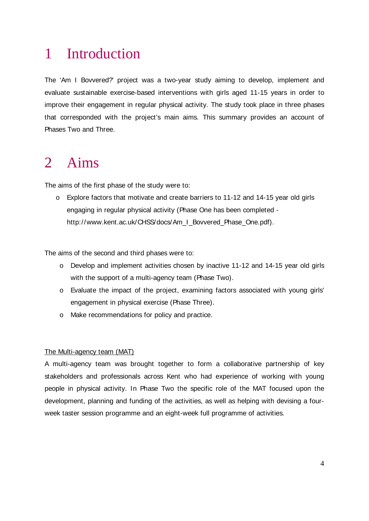## 1 Introduction

The 'Am I Bovvered?' project was a two-year study aiming to develop, implement and evaluate sustainable exercise-based interventions with girls aged 11-15 years in order to improve their engagement in regular physical activity. The study took place in three phases that corresponded with the project's main aims. This summary provides an account of Phases Two and Three.

### 2 Aims

The aims of the first phase of the study were to:

o Explore factors that motivate and create barriers to 11-12 and 14-15 year old girls engaging in regular physical activity (Phase One has been completed http://www.kent.ac.uk/CHSS/docs/Am\_I\_Bovvered\_Phase\_One.pdf).

The aims of the second and third phases were to:

- o Develop and implement activities chosen by inactive 11-12 and 14-15 year old girls with the support of a multi-agency team (Phase Two).
- o Evaluate the impact of the project, examining factors associated with young girls' engagement in physical exercise (Phase Three).
- o Make recommendations for policy and practice.

#### The Multi-agency team (MAT)

A multi-agency team was brought together to form a collaborative partnership of key stakeholders and professionals across Kent who had experience of working with young people in physical activity. In Phase Two the specific role of the MAT focused upon the development, planning and funding of the activities, as well as helping with devising a fourweek taster session programme and an eight-week full programme of activities.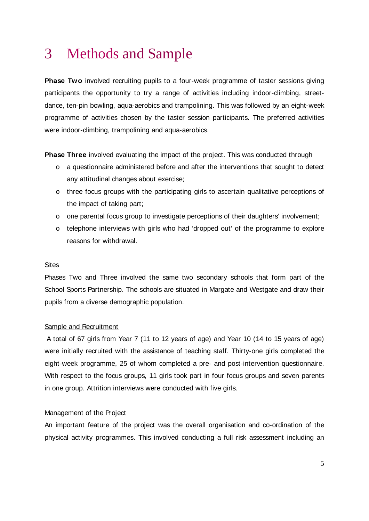### 3 Methods and Sample

**Phase Two** involved recruiting pupils to a four-week programme of taster sessions giving participants the opportunity to try a range of activities including indoor-climbing, streetdance, ten-pin bowling, aqua-aerobics and trampolining. This was followed by an eight-week programme of activities chosen by the taster session participants. The preferred activities were indoor-climbing, trampolining and aqua-aerobics.

**Phase Three** involved evaluating the impact of the project. This was conducted through

- o a questionnaire administered before and after the interventions that sought to detect any attitudinal changes about exercise;
- o three focus groups with the participating girls to ascertain qualitative perceptions of the impact of taking part;
- o one parental focus group to investigate perceptions of their daughters' involvement;
- $\circ$  telephone interviews with girls who had 'dropped out' of the programme to explore reasons for withdrawal.

#### **Sites**

Phases Two and Three involved the same two secondary schools that form part of the School Sports Partnership. The schools are situated in Margate and Westgate and draw their pupils from a diverse demographic population.

#### Sample and Recruitment

 A total of 67 girls from Year 7 (11 to 12 years of age) and Year 10 (14 to 15 years of age) were initially recruited with the assistance of teaching staff. Thirty-one girls completed the eight-week programme, 25 of whom completed a pre- and post-intervention questionnaire. With respect to the focus groups, 11 girls took part in four focus groups and seven parents in one group. Attrition interviews were conducted with five girls.

#### Management of the Project

An important feature of the project was the overall organisation and co-ordination of the physical activity programmes. This involved conducting a full risk assessment including an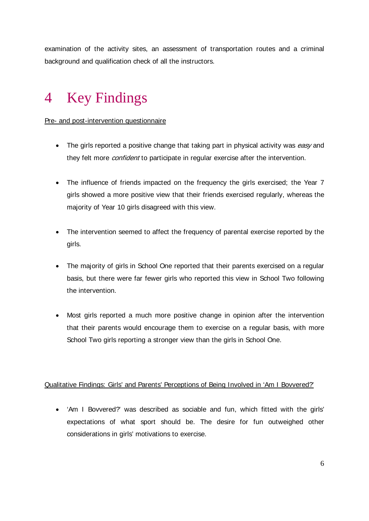examination of the activity sites, an assessment of transportation routes and a criminal background and qualification check of all the instructors.

# 4 Key Findings

Pre- and post-intervention questionnaire

- The girls reported a positive change that taking part in physical activity was easy and they felt more *confident* to participate in regular exercise after the intervention.
- The influence of friends impacted on the frequency the girls exercised; the Year 7 girls showed a more positive view that their friends exercised regularly, whereas the majority of Year 10 girls disagreed with this view.
- The intervention seemed to affect the frequency of parental exercise reported by the girls.
- The majority of girls in School One reported that their parents exercised on a regular basis, but there were far fewer girls who reported this view in School Two following the intervention.
- Most girls reported a much more positive change in opinion after the intervention that their parents would encourage them to exercise on a regular basis, with more School Two girls reporting a stronger view than the girls in School One.

#### Qualitative Findings: Girls' and Parents' Perceptions of Being Involved in 'Am I Bovvered?'

• 'Am I Bovvered?' was described as sociable and fun, which fitted with the girls' expectations of what sport should be. The desire for fun outweighed other considerations in girls' motivations to exercise.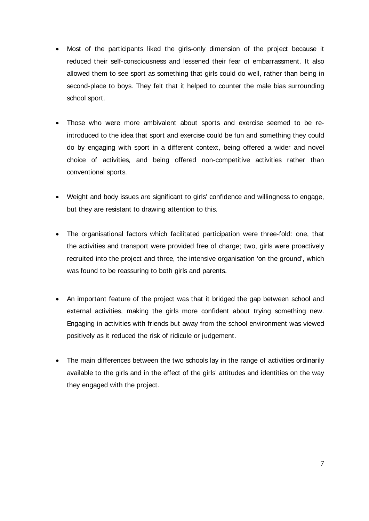- Most of the participants liked the girls-only dimension of the project because it reduced their self-consciousness and lessened their fear of embarrassment. It also allowed them to see sport as something that girls could do well, rather than being in second-place to boys. They felt that it helped to counter the male bias surrounding school sport.
- Those who were more ambivalent about sports and exercise seemed to be reintroduced to the idea that sport and exercise could be fun and something they could do by engaging with sport in a different context, being offered a wider and novel choice of activities, and being offered non-competitive activities rather than conventional sports.
- Weight and body issues are significant to girls' confidence and willingness to engage, but they are resistant to drawing attention to this.
- The organisational factors which facilitated participation were three-fold: one, that the activities and transport were provided free of charge; two, girls were proactively recruited into the project and three, the intensive organisation 'on the ground', which was found to be reassuring to both girls and parents.
- An important feature of the project was that it bridged the gap between school and external activities, making the girls more confident about trying something new. Engaging in activities with friends but away from the school environment was viewed positively as it reduced the risk of ridicule or judgement.
- The main differences between the two schools lay in the range of activities ordinarily available to the girls and in the effect of the girls' attitudes and identities on the way they engaged with the project.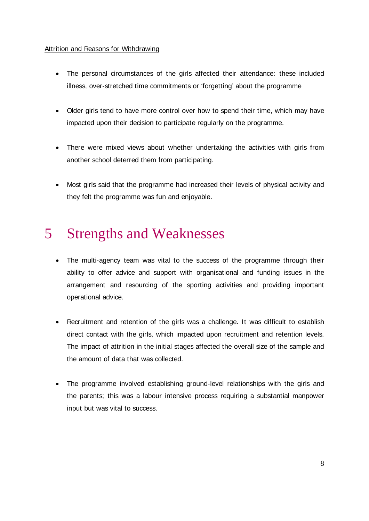#### Attrition and Reasons for Withdrawing

- The personal circumstances of the girls affected their attendance: these included illness, over-stretched time commitments or 'forgetting' about the programme
- Older girls tend to have more control over how to spend their time, which may have impacted upon their decision to participate regularly on the programme.
- There were mixed views about whether undertaking the activities with girls from another school deterred them from participating.
- Most girls said that the programme had increased their levels of physical activity and they felt the programme was fun and enjoyable.

### 5 Strengths and Weaknesses

- The multi-agency team was vital to the success of the programme through their ability to offer advice and support with organisational and funding issues in the arrangement and resourcing of the sporting activities and providing important operational advice.
- Recruitment and retention of the girls was a challenge. It was difficult to establish direct contact with the girls, which impacted upon recruitment and retention levels. The impact of attrition in the initial stages affected the overall size of the sample and the amount of data that was collected.
- The programme involved establishing ground-level relationships with the girls and the parents; this was a labour intensive process requiring a substantial manpower input but was vital to success.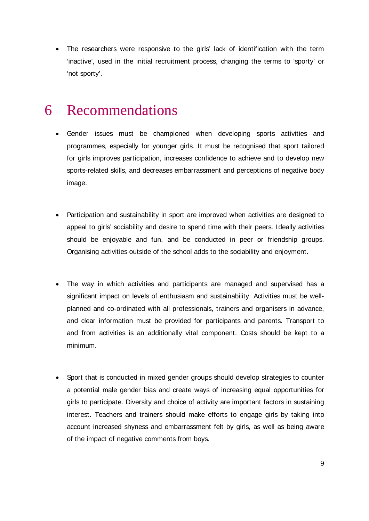• The researchers were responsive to the girls' lack of identification with the term 'inactive', used in the initial recruitment process, changing the terms to 'sporty' or 'not sporty'.

### 6 Recommendations

- Gender issues must be championed when developing sports activities and programmes, especially for younger girls. It must be recognised that sport tailored for girls improves participation, increases confidence to achieve and to develop new sports-related skills, and decreases embarrassment and perceptions of negative body image.
- Participation and sustainability in sport are improved when activities are designed to appeal to girls' sociability and desire to spend time with their peers. Ideally activities should be enjoyable and fun, and be conducted in peer or friendship groups. Organising activities outside of the school adds to the sociability and enjoyment.
- The way in which activities and participants are managed and supervised has a significant impact on levels of enthusiasm and sustainability. Activities must be wellplanned and co-ordinated with all professionals, trainers and organisers in advance, and clear information must be provided for participants and parents. Transport to and from activities is an additionally vital component. Costs should be kept to a minimum.
- Sport that is conducted in mixed gender groups should develop strategies to counter a potential male gender bias and create ways of increasing equal opportunities for girls to participate. Diversity and choice of activity are important factors in sustaining interest. Teachers and trainers should make efforts to engage girls by taking into account increased shyness and embarrassment felt by girls, as well as being aware of the impact of negative comments from boys.